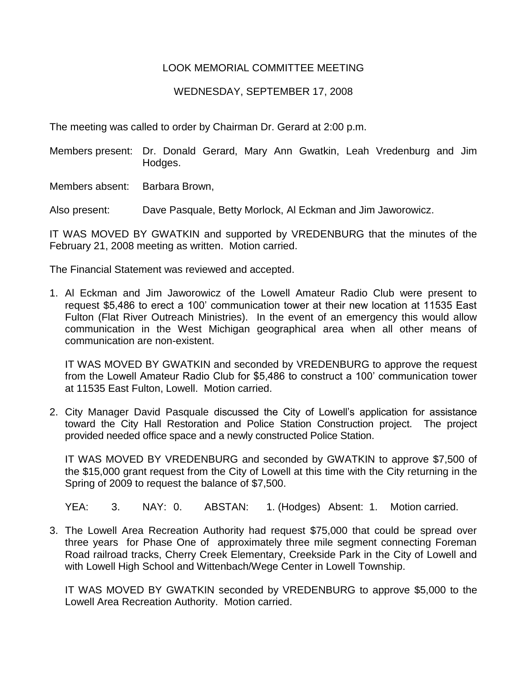## LOOK MEMORIAL COMMITTEE MEETING

## WEDNESDAY, SEPTEMBER 17, 2008

The meeting was called to order by Chairman Dr. Gerard at 2:00 p.m.

Members present: Dr. Donald Gerard, Mary Ann Gwatkin, Leah Vredenburg and Jim Hodges.

Members absent: Barbara Brown,

Also present: Dave Pasquale, Betty Morlock, Al Eckman and Jim Jaworowicz.

IT WAS MOVED BY GWATKIN and supported by VREDENBURG that the minutes of the February 21, 2008 meeting as written. Motion carried.

The Financial Statement was reviewed and accepted.

1. Al Eckman and Jim Jaworowicz of the Lowell Amateur Radio Club were present to request \$5,486 to erect a 100' communication tower at their new location at 11535 East Fulton (Flat River Outreach Ministries). In the event of an emergency this would allow communication in the West Michigan geographical area when all other means of communication are non-existent.

IT WAS MOVED BY GWATKIN and seconded by VREDENBURG to approve the request from the Lowell Amateur Radio Club for \$5,486 to construct a 100' communication tower at 11535 East Fulton, Lowell. Motion carried.

2. City Manager David Pasquale discussed the City of Lowell's application for assistance toward the City Hall Restoration and Police Station Construction project. The project provided needed office space and a newly constructed Police Station.

IT WAS MOVED BY VREDENBURG and seconded by GWATKIN to approve \$7,500 of the \$15,000 grant request from the City of Lowell at this time with the City returning in the Spring of 2009 to request the balance of \$7,500.

YEA: 3. NAY: 0. ABSTAN: 1. (Hodges) Absent: 1. Motion carried.

3. The Lowell Area Recreation Authority had request \$75,000 that could be spread over three years for Phase One of approximately three mile segment connecting Foreman Road railroad tracks, Cherry Creek Elementary, Creekside Park in the City of Lowell and with Lowell High School and Wittenbach/Wege Center in Lowell Township.

IT WAS MOVED BY GWATKIN seconded by VREDENBURG to approve \$5,000 to the Lowell Area Recreation Authority. Motion carried.